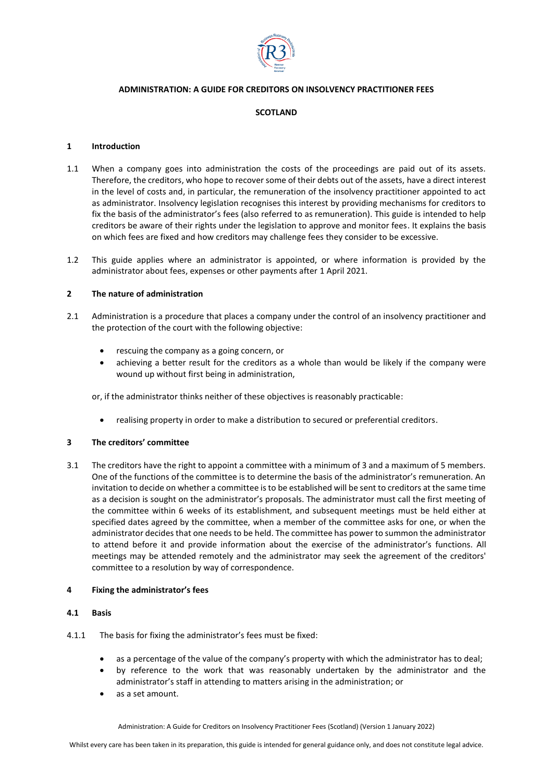

# **ADMINISTRATION: A GUIDE FOR CREDITORS ON INSOLVENCY PRACTITIONER FEES**

### **SCOTLAND**

#### **1 Introduction**

- 1.1 When a company goes into administration the costs of the proceedings are paid out of its assets. Therefore, the creditors, who hope to recover some of their debts out of the assets, have a direct interest in the level of costs and, in particular, the remuneration of the insolvency practitioner appointed to act as administrator. Insolvency legislation recognises this interest by providing mechanisms for creditors to fix the basis of the administrator's fees (also referred to as remuneration). This guide is intended to help creditors be aware of their rights under the legislation to approve and monitor fees. It explains the basis on which fees are fixed and how creditors may challenge fees they consider to be excessive.
- 1.2 This guide applies where an administrator is appointed, or where information is provided by the administrator about fees, expenses or other payments after 1 April 2021.

#### **2 The nature of administration**

- 2.1 Administration is a procedure that places a company under the control of an insolvency practitioner and the protection of the court with the following objective:
	- rescuing the company as a going concern, or
	- achieving a better result for the creditors as a whole than would be likely if the company were wound up without first being in administration,

or, if the administrator thinks neither of these objectives is reasonably practicable:

• realising property in order to make a distribution to secured or preferential creditors.

### **3 The creditors' committee**

3.1 The creditors have the right to appoint a committee with a minimum of 3 and a maximum of 5 members. One of the functions of the committee is to determine the basis of the administrator's remuneration. An invitation to decide on whether a committee is to be established will be sent to creditors at the same time as a decision is sought on the administrator's proposals. The administrator must call the first meeting of the committee within 6 weeks of its establishment, and subsequent meetings must be held either at specified dates agreed by the committee, when a member of the committee asks for one, or when the administrator decides that one needs to be held. The committee has power to summon the administrator to attend before it and provide information about the exercise of the administrator's functions. All meetings may be attended remotely and the administrator may seek the agreement of the creditors' committee to a resolution by way of correspondence.

#### **4 Fixing the administrator's fees**

#### **4.1 Basis**

- 4.1.1 The basis for fixing the administrator's fees must be fixed:
	- as a percentage of the value of the company's property with which the administrator has to deal;
	- by reference to the work that was reasonably undertaken by the administrator and the administrator's staff in attending to matters arising in the administration; or
	- as a set amount.

Administration: A Guide for Creditors on Insolvency Practitioner Fees (Scotland) (Version 1 January 2022)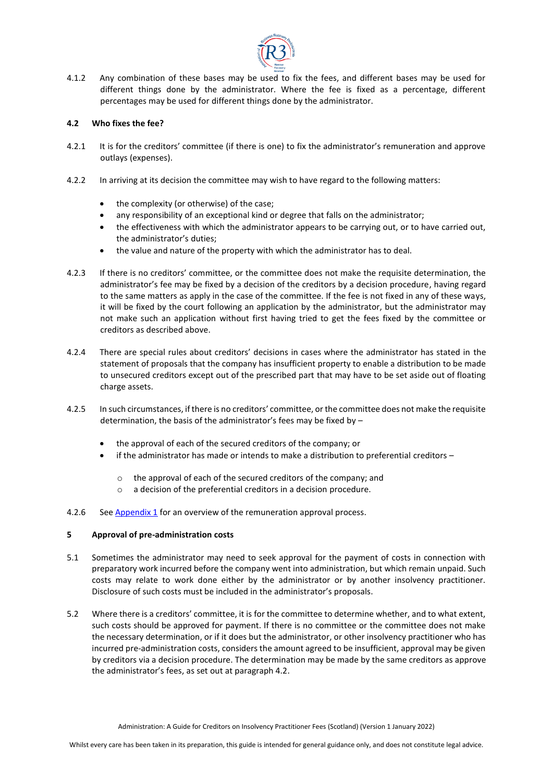

4.1.2 Any combination of these bases may be used to fix the fees, and different bases may be used for different things done by the administrator. Where the fee is fixed as a percentage, different percentages may be used for different things done by the administrator.

### **4.2 Who fixes the fee?**

- 4.2.1 It is for the creditors' committee (if there is one) to fix the administrator's remuneration and approve outlays (expenses).
- 4.2.2 In arriving at its decision the committee may wish to have regard to the following matters:
	- the complexity (or otherwise) of the case;
	- any responsibility of an exceptional kind or degree that falls on the administrator;
	- the effectiveness with which the administrator appears to be carrying out, or to have carried out, the administrator's duties;
	- the value and nature of the property with which the administrator has to deal.
- 4.2.3 If there is no creditors' committee, or the committee does not make the requisite determination, the administrator's fee may be fixed by a decision of the creditors by a decision procedure, having regard to the same matters as apply in the case of the committee. If the fee is not fixed in any of these ways, it will be fixed by the court following an application by the administrator, but the administrator may not make such an application without first having tried to get the fees fixed by the committee or creditors as described above.
- 4.2.4 There are special rules about creditors' decisions in cases where the administrator has stated in the statement of proposals that the company has insufficient property to enable a distribution to be made to unsecured creditors except out of the prescribed part that may have to be set aside out of floating charge assets.
- 4.2.5 In such circumstances, if there is no creditors' committee, or the committee does not make the requisite determination, the basis of the administrator's fees may be fixed by –
	- the approval of each of the secured creditors of the company; or
	- if the administrator has made or intends to make a distribution to preferential creditors  $$ 
		- o the approval of each of the secured creditors of the company; and
		- o a decision of the preferential creditors in a decision procedure.
- 4.2.6 See [Appendix 1](#page-5-0) for an overview of the remuneration approval process.

#### **5 Approval of pre-administration costs**

- 5.1 Sometimes the administrator may need to seek approval for the payment of costs in connection with preparatory work incurred before the company went into administration, but which remain unpaid. Such costs may relate to work done either by the administrator or by another insolvency practitioner. Disclosure of such costs must be included in the administrator's proposals.
- 5.2 Where there is a creditors' committee, it is for the committee to determine whether, and to what extent, such costs should be approved for payment. If there is no committee or the committee does not make the necessary determination, or if it does but the administrator, or other insolvency practitioner who has incurred pre-administration costs, considers the amount agreed to be insufficient, approval may be given by creditors via a decision procedure. The determination may be made by the same creditors as approve the administrator's fees, as set out at paragraph 4.2.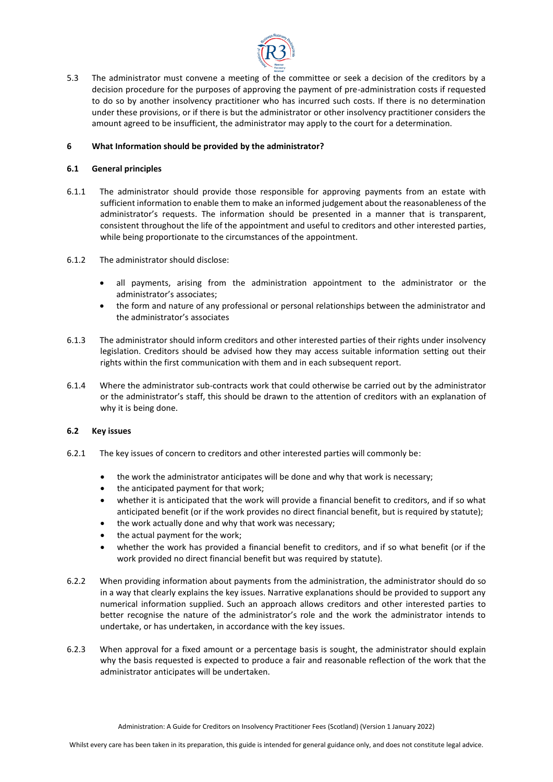

5.3 The administrator must convene a meeting of the committee or seek a decision of the creditors by a decision procedure for the purposes of approving the payment of pre-administration costs if requested to do so by another insolvency practitioner who has incurred such costs. If there is no determination under these provisions, or if there is but the administrator or other insolvency practitioner considers the amount agreed to be insufficient, the administrator may apply to the court for a determination.

### **6 What Information should be provided by the administrator?**

### **6.1 General principles**

- 6.1.1 The administrator should provide those responsible for approving payments from an estate with sufficient information to enable them to make an informed judgement about the reasonableness of the administrator's requests. The information should be presented in a manner that is transparent, consistent throughout the life of the appointment and useful to creditors and other interested parties, while being proportionate to the circumstances of the appointment.
- 6.1.2 The administrator should disclose:
	- all payments, arising from the administration appointment to the administrator or the administrator's associates;
	- the form and nature of any professional or personal relationships between the administrator and the administrator's associates
- 6.1.3 The administrator should inform creditors and other interested parties of their rights under insolvency legislation. Creditors should be advised how they may access suitable information setting out their rights within the first communication with them and in each subsequent report.
- 6.1.4 Where the administrator sub-contracts work that could otherwise be carried out by the administrator or the administrator's staff, this should be drawn to the attention of creditors with an explanation of why it is being done.

# **6.2 Key issues**

- 6.2.1 The key issues of concern to creditors and other interested parties will commonly be:
	- the work the administrator anticipates will be done and why that work is necessary;
	- the anticipated payment for that work;
	- whether it is anticipated that the work will provide a financial benefit to creditors, and if so what anticipated benefit (or if the work provides no direct financial benefit, but is required by statute);
	- the work actually done and why that work was necessary;
	- the actual payment for the work;
	- whether the work has provided a financial benefit to creditors, and if so what benefit (or if the work provided no direct financial benefit but was required by statute).
- 6.2.2 When providing information about payments from the administration, the administrator should do so in a way that clearly explains the key issues. Narrative explanations should be provided to support any numerical information supplied. Such an approach allows creditors and other interested parties to better recognise the nature of the administrator's role and the work the administrator intends to undertake, or has undertaken, in accordance with the key issues.
- 6.2.3 When approval for a fixed amount or a percentage basis is sought, the administrator should explain why the basis requested is expected to produce a fair and reasonable reflection of the work that the administrator anticipates will be undertaken.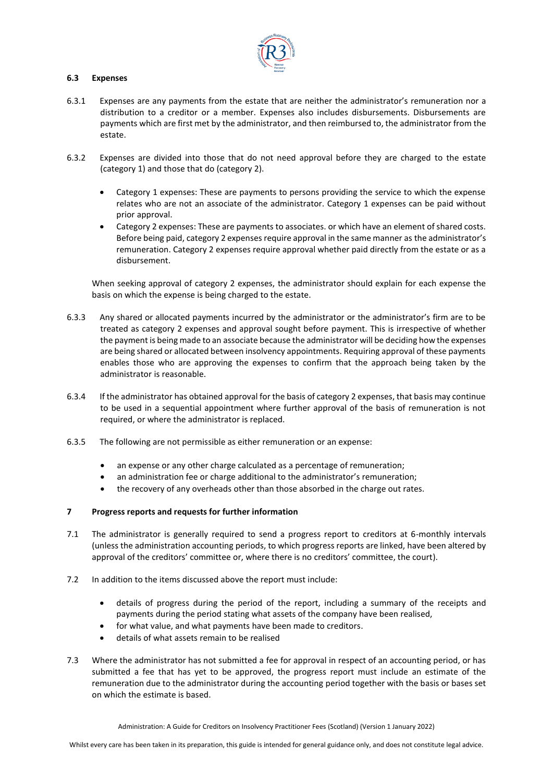

### **6.3 Expenses**

- 6.3.1 Expenses are any payments from the estate that are neither the administrator's remuneration nor a distribution to a creditor or a member. Expenses also includes disbursements. Disbursements are payments which are first met by the administrator, and then reimbursed to, the administrator from the estate.
- 6.3.2 Expenses are divided into those that do not need approval before they are charged to the estate (category 1) and those that do (category 2).
	- Category 1 expenses: These are payments to persons providing the service to which the expense relates who are not an associate of the administrator. Category 1 expenses can be paid without prior approval.
	- Category 2 expenses: These are payments to associates. or which have an element of shared costs. Before being paid, category 2 expenses require approval in the same manner as the administrator's remuneration. Category 2 expenses require approval whether paid directly from the estate or as a disbursement.

When seeking approval of category 2 expenses, the administrator should explain for each expense the basis on which the expense is being charged to the estate.

- 6.3.3 Any shared or allocated payments incurred by the administrator or the administrator's firm are to be treated as category 2 expenses and approval sought before payment. This is irrespective of whether the payment is being made to an associate because the administrator will be deciding how the expenses are being shared or allocated between insolvency appointments. Requiring approval of these payments enables those who are approving the expenses to confirm that the approach being taken by the administrator is reasonable.
- 6.3.4 If the administrator has obtained approval for the basis of category 2 expenses, that basis may continue to be used in a sequential appointment where further approval of the basis of remuneration is not required, or where the administrator is replaced.
- 6.3.5 The following are not permissible as either remuneration or an expense:
	- an expense or any other charge calculated as a percentage of remuneration;
	- an administration fee or charge additional to the administrator's remuneration;
	- the recovery of any overheads other than those absorbed in the charge out rates.

# **7 Progress reports and requests for further information**

- 7.1 The administrator is generally required to send a progress report to creditors at 6-monthly intervals (unless the administration accounting periods, to which progress reports are linked, have been altered by approval of the creditors' committee or, where there is no creditors' committee, the court).
- 7.2 In addition to the items discussed above the report must include:
	- details of progress during the period of the report, including a summary of the receipts and payments during the period stating what assets of the company have been realised,
	- for what value, and what payments have been made to creditors.
	- details of what assets remain to be realised
- 7.3 Where the administrator has not submitted a fee for approval in respect of an accounting period, or has submitted a fee that has yet to be approved, the progress report must include an estimate of the remuneration due to the administrator during the accounting period together with the basis or bases set on which the estimate is based.

Administration: A Guide for Creditors on Insolvency Practitioner Fees (Scotland) (Version 1 January 2022)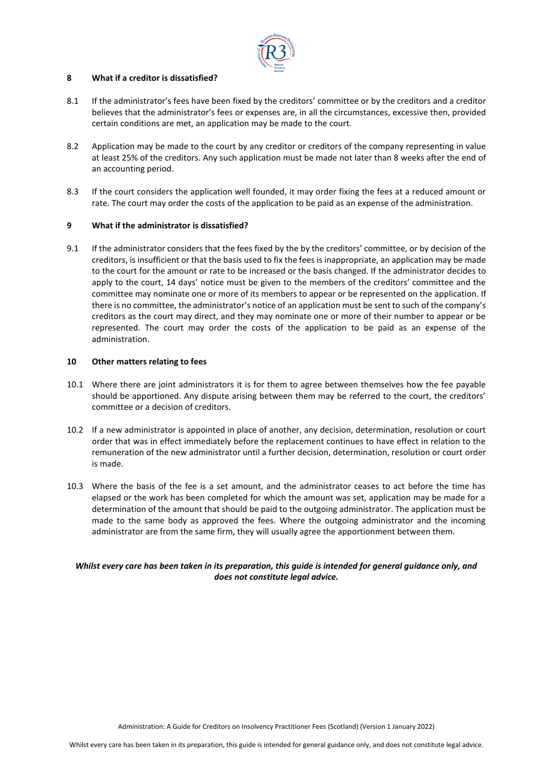

# **8 What if a creditor is dissatisfied?**

- 8.1 If the administrator's fees have been fixed by the creditors' committee or by the creditors and a creditor believes that the administrator's fees or expenses are, in all the circumstances, excessive then, provided certain conditions are met, an application may be made to the court.
- 8.2 Application may be made to the court by any creditor or creditors of the company representing in value at least 25% of the creditors. Any such application must be made not later than 8 weeks after the end of an accounting period.
- 8.3 If the court considers the application well founded, it may order fixing the fees at a reduced amount or rate. The court may order the costs of the application to be paid as an expense of the administration.

# **9 What if the administrator is dissatisfied?**

9.1 If the administrator considers that the fees fixed by the by the creditors' committee, or by decision of the creditors, is insufficient or that the basis used to fix the fees is inappropriate, an application may be made to the court for the amount or rate to be increased or the basis changed. If the administrator decides to apply to the court, 14 days' notice must be given to the members of the creditors' committee and the committee may nominate one or more of its members to appear or be represented on the application. If there is no committee, the administrator's notice of an application must be sent to such of the company's creditors as the court may direct, and they may nominate one or more of their number to appear or be represented. The court may order the costs of the application to be paid as an expense of the administration.

#### **10 Other matters relating to fees**

- 10.1 Where there are joint administrators it is for them to agree between themselves how the fee payable should be apportioned. Any dispute arising between them may be referred to the court, the creditors' committee or a decision of creditors.
- 10.2 If a new administrator is appointed in place of another, any decision, determination, resolution or court order that was in effect immediately before the replacement continues to have effect in relation to the remuneration of the new administrator until a further decision, determination, resolution or court order is made.
- 10.3 Where the basis of the fee is a set amount, and the administrator ceases to act before the time has elapsed or the work has been completed for which the amount was set, application may be made for a determination of the amount that should be paid to the outgoing administrator. The application must be made to the same body as approved the fees. Where the outgoing administrator and the incoming administrator are from the same firm, they will usually agree the apportionment between them.

# *Whilst every care has been taken in its preparation, this guide is intended for general guidance only, and does not constitute legal advice.*